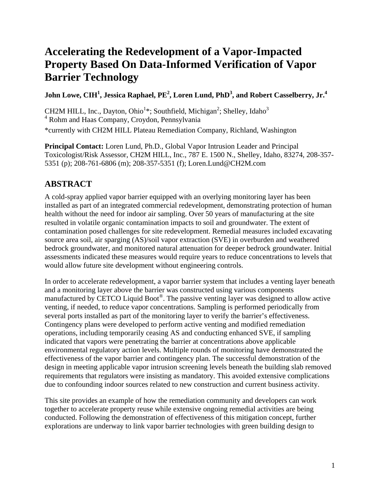# **Accelerating the Redevelopment of a Vapor-Impacted Property Based On Data-Informed Verification of Vapor Barrier Technology**

<code>John Lowe, CIH $^1$ , Jessica Raphael, PE $^2$ , Loren Lund, PhD $^3$ , and Robert Casselberry, Jr. $^4$ </code>

CH2M HILL, Inc., Dayton, Ohio<sup>1</sup>\*; Southfield, Michigan<sup>2</sup>; Shelley, Idaho<sup>3</sup> 4 Rohm and Haas Company, Croydon, Pennsylvania \*currently with CH2M HILL Plateau Remediation Company, Richland, Washington

**Principal Contact:** Loren Lund, Ph.D., Global Vapor Intrusion Leader and Principal Toxicologist/Risk Assessor, CH2M HILL, Inc., 787 E. 1500 N., Shelley, Idaho, 83274, 208-357- 5351 (p); 208-761-6806 (m); 208-357-5351 (f); [Loren.Lund@CH2M.com](mailto:Loren.Lund@CH2M.com)

## **ABSTRACT**

A cold-spray applied vapor barrier equipped with an overlying monitoring layer has been installed as part of an integrated commercial redevelopment, demonstrating protection of human health without the need for indoor air sampling. Over 50 years of manufacturing at the site resulted in volatile organic contamination impacts to soil and groundwater. The extent of contamination posed challenges for site redevelopment. Remedial measures included excavating source area soil, air sparging (AS)/soil vapor extraction (SVE) in overburden and weathered bedrock groundwater, and monitored natural attenuation for deeper bedrock groundwater. Initial assessments indicated these measures would require years to reduce concentrations to levels that would allow future site development without engineering controls.

In order to accelerate redevelopment, a vapor barrier system that includes a venting layer beneath and a monitoring layer above the barrier was constructed using various components manufactured by CETCO Liquid Boot®. The passive venting layer was designed to allow active venting, if needed, to reduce vapor concentrations. Sampling is performed periodically from several ports installed as part of the monitoring layer to verify the barrier's effectiveness. Contingency plans were developed to perform active venting and modified remediation operations, including temporarily ceasing AS and conducting enhanced SVE, if sampling indicated that vapors were penetrating the barrier at concentrations above applicable environmental regulatory action levels. Multiple rounds of monitoring have demonstrated the effectiveness of the vapor barrier and contingency plan. The successful demonstration of the design in meeting applicable vapor intrusion screening levels beneath the building slab removed requirements that regulators were insisting as mandatory. This avoided extensive complications due to confounding indoor sources related to new construction and current business activity.

This site provides an example of how the remediation community and developers can work together to accelerate property reuse while extensive ongoing remedial activities are being conducted. Following the demonstration of effectiveness of this mitigation concept, further explorations are underway to link vapor barrier technologies with green building design to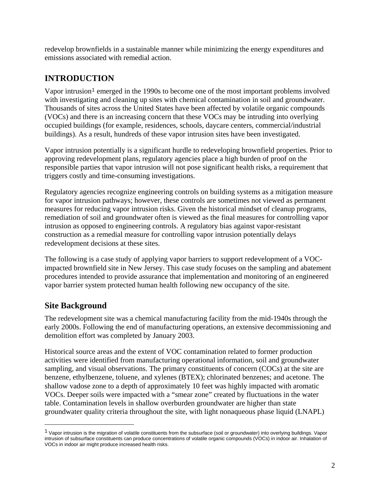redevelop brownfields in a sustainable manner while minimizing the energy expenditures and emissions associated with remedial action.

## **INTRODUCTION**

Vapor intrusion<sup>[1](#page-1-0)</sup> emerged in the 1990s to become one of the most important problems involved with investigating and cleaning up sites with chemical contamination in soil and groundwater. Thousands of sites across the United States have been affected by volatile organic compounds (VOCs) and there is an increasing concern that these VOCs may be intruding into overlying occupied buildings (for example, residences, schools, daycare centers, commercial/industrial buildings). As a result, hundreds of these vapor intrusion sites have been investigated.

Vapor intrusion potentially is a significant hurdle to redeveloping brownfield properties. Prior to approving redevelopment plans, regulatory agencies place a high burden of proof on the responsible parties that vapor intrusion will not pose significant health risks, a requirement that triggers costly and time-consuming investigations.

Regulatory agencies recognize engineering controls on building systems as a mitigation measure for vapor intrusion pathways; however, these controls are sometimes not viewed as permanent measures for reducing vapor intrusion risks. Given the historical mindset of cleanup programs, remediation of soil and groundwater often is viewed as the final measures for controlling vapor intrusion as opposed to engineering controls. A regulatory bias against vapor-resistant construction as a remedial measure for controlling vapor intrusion potentially delays redevelopment decisions at these sites.

The following is a case study of applying vapor barriers to support redevelopment of a VOCimpacted brownfield site in New Jersey. This case study focuses on the sampling and abatement procedures intended to provide assurance that implementation and monitoring of an engineered vapor barrier system protected human health following new occupancy of the site.

### **Site Background**

 $\overline{a}$ 

The redevelopment site was a chemical manufacturing facility from the mid-1940s through the early 2000s. Following the end of manufacturing operations, an extensive decommissioning and demolition effort was completed by January 2003.

Historical source areas and the extent of VOC contamination related to former production activities were identified from manufacturing operational information, soil and groundwater sampling, and visual observations. The primary constituents of concern (COCs) at the site are benzene, ethylbenzene, toluene, and xylenes (BTEX); chlorinated benzenes; and acetone. The shallow vadose zone to a depth of approximately 10 feet was highly impacted with aromatic VOCs. Deeper soils were impacted with a "smear zone" created by fluctuations in the water table. Contamination levels in shallow overburden groundwater are higher than state groundwater quality criteria throughout the site, with light nonaqueous phase liquid (LNAPL)

<span id="page-1-0"></span> $1$  Vapor intrusion is the migration of volatile constituents from the subsurface (soil or groundwater) into overlying buildings. Vapor intrusion of subsurface constituents can produce concentrations of volatile organic compounds (VOCs) in indoor air. Inhalation of VOCs in indoor air might produce increased health risks.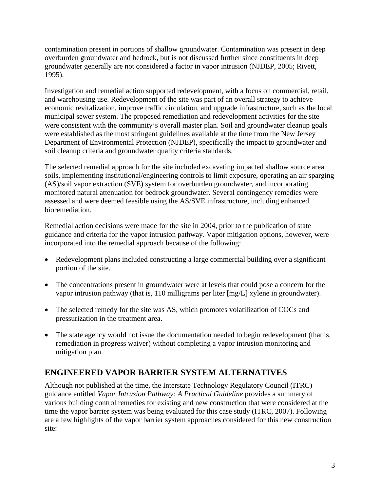contamination present in portions of shallow groundwater. Contamination was present in deep overburden groundwater and bedrock, but is not discussed further since constituents in deep groundwater generally are not considered a factor in vapor intrusion (NJDEP, 2005; Rivett, 1995).

Investigation and remedial action supported redevelopment, with a focus on commercial, retail, and warehousing use. Redevelopment of the site was part of an overall strategy to achieve economic revitalization, improve traffic circulation, and upgrade infrastructure, such as the local municipal sewer system. The proposed remediation and redevelopment activities for the site were consistent with the community's overall master plan. Soil and groundwater cleanup goals were established as the most stringent guidelines available at the time from the New Jersey Department of Environmental Protection (NJDEP), specifically the impact to groundwater and soil cleanup criteria and groundwater quality criteria standards.

The selected remedial approach for the site included excavating impacted shallow source area soils, implementing institutional/engineering controls to limit exposure, operating an air sparging (AS)/soil vapor extraction (SVE) system for overburden groundwater, and incorporating monitored natural attenuation for bedrock groundwater. Several contingency remedies were assessed and were deemed feasible using the AS/SVE infrastructure, including enhanced bioremediation.

Remedial action decisions were made for the site in 2004, prior to the publication of state guidance and criteria for the vapor intrusion pathway. Vapor mitigation options, however, were incorporated into the remedial approach because of the following:

- Redevelopment plans included constructing a large commercial building over a significant portion of the site.
- The concentrations present in groundwater were at levels that could pose a concern for the vapor intrusion pathway (that is, 110 milligrams per liter [mg/L] xylene in groundwater).
- The selected remedy for the site was AS, which promotes volatilization of COCs and pressurization in the treatment area.
- The state agency would not issue the documentation needed to begin redevelopment (that is, remediation in progress waiver) without completing a vapor intrusion monitoring and mitigation plan.

### **ENGINEERED VAPOR BARRIER SYSTEM ALTERNATIVES**

Although not published at the time, the Interstate Technology Regulatory Council (ITRC) guidance entitled *Vapor Intrusion Pathway: A Practical Guideline* provides a summary of various building control remedies for existing and new construction that were considered at the time the vapor barrier system was being evaluated for this case study (ITRC, 2007). Following are a few highlights of the vapor barrier system approaches considered for this new construction site: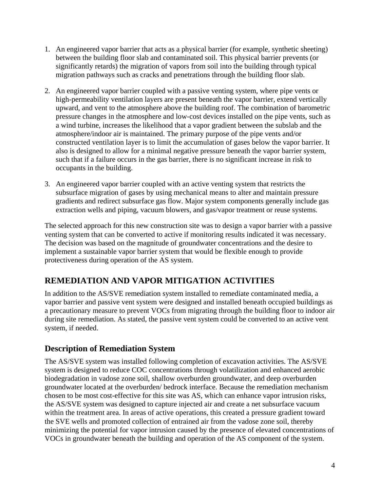- 1. An engineered vapor barrier that acts as a physical barrier (for example, synthetic sheeting) between the building floor slab and contaminated soil. This physical barrier prevents (or significantly retards) the migration of vapors from soil into the building through typical migration pathways such as cracks and penetrations through the building floor slab.
- 2. An engineered vapor barrier coupled with a passive venting system, where pipe vents or high-permeability ventilation layers are present beneath the vapor barrier, extend vertically upward, and vent to the atmosphere above the building roof. The combination of barometric pressure changes in the atmosphere and low-cost devices installed on the pipe vents, such as a wind turbine, increases the likelihood that a vapor gradient between the subslab and the atmosphere/indoor air is maintained. The primary purpose of the pipe vents and/or constructed ventilation layer is to limit the accumulation of gases below the vapor barrier. It also is designed to allow for a minimal negative pressure beneath the vapor barrier system, such that if a failure occurs in the gas barrier, there is no significant increase in risk to occupants in the building.
- 3. An engineered vapor barrier coupled with an active venting system that restricts the subsurface migration of gases by using mechanical means to alter and maintain pressure gradients and redirect subsurface gas flow. Major system components generally include gas extraction wells and piping, vacuum blowers, and gas/vapor treatment or reuse systems.

The selected approach for this new construction site was to design a vapor barrier with a passive venting system that can be converted to active if monitoring results indicated it was necessary. The decision was based on the magnitude of groundwater concentrations and the desire to implement a sustainable vapor barrier system that would be flexible enough to provide protectiveness during operation of the AS system.

## **REMEDIATION AND VAPOR MITIGATION ACTIVITIES**

In addition to the AS/SVE remediation system installed to remediate contaminated media, a vapor barrier and passive vent system were designed and installed beneath occupied buildings as a precautionary measure to prevent VOCs from migrating through the building floor to indoor air during site remediation. As stated, the passive vent system could be converted to an active vent system, if needed.

### **Description of Remediation System**

The AS/SVE system was installed following completion of excavation activities. The AS/SVE system is designed to reduce COC concentrations through volatilization and enhanced aerobic biodegradation in vadose zone soil, shallow overburden groundwater, and deep overburden groundwater located at the overburden/ bedrock interface. Because the remediation mechanism chosen to be most cost-effective for this site was AS, which can enhance vapor intrusion risks, the AS/SVE system was designed to capture injected air and create a net subsurface vacuum within the treatment area. In areas of active operations, this created a pressure gradient toward the SVE wells and promoted collection of entrained air from the vadose zone soil, thereby minimizing the potential for vapor intrusion caused by the presence of elevated concentrations of VOCs in groundwater beneath the building and operation of the AS component of the system.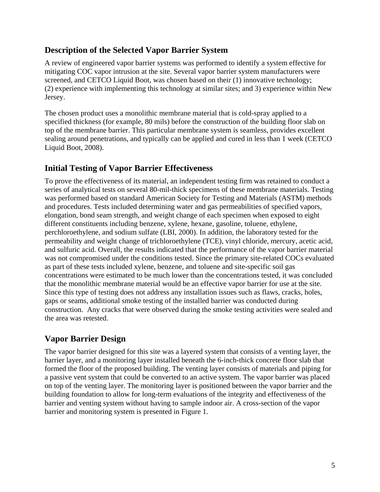#### **Description of the Selected Vapor Barrier System**

A review of engineered vapor barrier systems was performed to identify a system effective for mitigating COC vapor intrusion at the site. Several vapor barrier system manufacturers were screened, and CETCO Liquid Boot, was chosen based on their (1) innovative technology; (2) experience with implementing this technology at similar sites; and 3) experience within New Jersey.

The chosen product uses a monolithic membrane material that is cold-spray applied to a specified thickness (for example, 80 mils) before the construction of the building floor slab on top of the membrane barrier. This particular membrane system is seamless, provides excellent sealing around penetrations, and typically can be applied and cured in less than 1 week (CETCO Liquid Boot, 2008).

### **Initial Testing of Vapor Barrier Effectiveness**

To prove the effectiveness of its material, an independent testing firm was retained to conduct a series of analytical tests on several 80-mil-thick specimens of these membrane materials. Testing was performed based on standard American Society for Testing and Materials (ASTM) methods and procedures. Tests included determining water and gas permeabilities of specified vapors, elongation, bond seam strength, and weight change of each specimen when exposed to eight different constituents including benzene, xylene, hexane, gasoline, toluene, ethylene, perchloroethylene, and sodium sulfate (LBI, 2000). In addition, the laboratory tested for the permeability and weight change of trichloroethylene (TCE), vinyl chloride, mercury, acetic acid, and sulfuric acid. Overall, the results indicated that the performance of the vapor barrier material was not compromised under the conditions tested. Since the primary site-related COCs evaluated as part of these tests included xylene, benzene, and toluene and site-specific soil gas concentrations were estimated to be much lower than the concentrations tested, it was concluded that the monolithic membrane material would be an effective vapor barrier for use at the site. Since this type of testing does not address any installation issues such as flaws, cracks, holes, gaps or seams, additional smoke testing of the installed barrier was conducted during construction. Any cracks that were observed during the smoke testing activities were sealed and the area was retested.

### **Vapor Barrier Design**

The vapor barrier designed for this site was a layered system that consists of a venting layer, the barrier layer, and a monitoring layer installed beneath the 6-inch-thick concrete floor slab that formed the floor of the proposed building. The venting layer consists of materials and piping for a passive vent system that could be converted to an active system. The vapor barrier was placed on top of the venting layer. The monitoring layer is positioned between the vapor barrier and the building foundation to allow for long-term evaluations of the integrity and effectiveness of the barrier and venting system without having to sample indoor air. A cross-section of the vapor barrier and monitoring system is presented in Figure 1.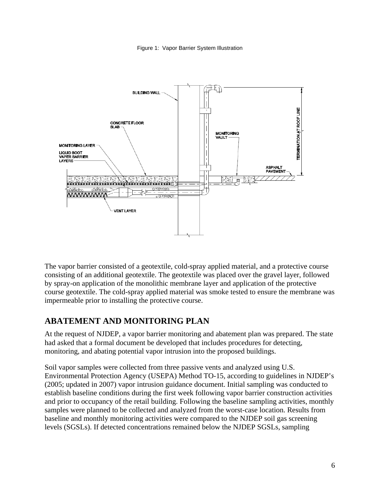Figure 1: Vapor Barrier System Illustration



The vapor barrier consisted of a geotextile, cold-spray applied material, and a protective course consisting of an additional geotextile. The geotextile was placed over the gravel layer, followed by spray-on application of the monolithic membrane layer and application of the protective course geotextile. The cold-spray applied material was smoke tested to ensure the membrane was impermeable prior to installing the protective course.

### **ABATEMENT AND MONITORING PLAN**

At the request of NJDEP, a vapor barrier monitoring and abatement plan was prepared. The state had asked that a formal document be developed that includes procedures for detecting, monitoring, and abating potential vapor intrusion into the proposed buildings.

Soil vapor samples were collected from three passive vents and analyzed using U.S. Environmental Protection Agency (USEPA) Method TO-15, according to guidelines in NJDEP's (2005; updated in 2007) vapor intrusion guidance document. Initial sampling was conducted to establish baseline conditions during the first week following vapor barrier construction activities and prior to occupancy of the retail building. Following the baseline sampling activities, monthly samples were planned to be collected and analyzed from the worst-case location. Results from baseline and monthly monitoring activities were compared to the NJDEP soil gas screening levels (SGSLs). If detected concentrations remained below the NJDEP SGSLs, sampling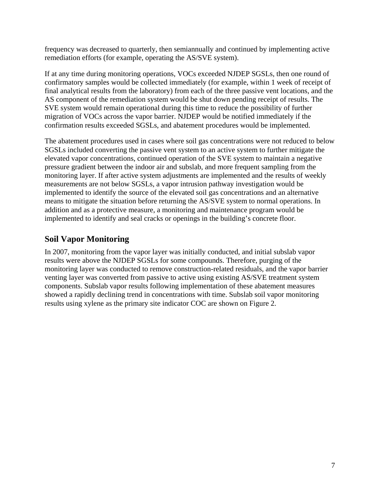frequency was decreased to quarterly, then semiannually and continued by implementing active remediation efforts (for example, operating the AS/SVE system).

If at any time during monitoring operations, VOCs exceeded NJDEP SGSLs, then one round of confirmatory samples would be collected immediately (for example, within 1 week of receipt of final analytical results from the laboratory) from each of the three passive vent locations, and the AS component of the remediation system would be shut down pending receipt of results. The SVE system would remain operational during this time to reduce the possibility of further migration of VOCs across the vapor barrier. NJDEP would be notified immediately if the confirmation results exceeded SGSLs, and abatement procedures would be implemented.

The abatement procedures used in cases where soil gas concentrations were not reduced to below SGSLs included converting the passive vent system to an active system to further mitigate the elevated vapor concentrations, continued operation of the SVE system to maintain a negative pressure gradient between the indoor air and subslab, and more frequent sampling from the monitoring layer. If after active system adjustments are implemented and the results of weekly measurements are not below SGSLs, a vapor intrusion pathway investigation would be implemented to identify the source of the elevated soil gas concentrations and an alternative means to mitigate the situation before returning the AS/SVE system to normal operations. In addition and as a protective measure, a monitoring and maintenance program would be implemented to identify and seal cracks or openings in the building's concrete floor.

#### **Soil Vapor Monitoring**

In 2007, monitoring from the vapor layer was initially conducted, and initial subslab vapor results were above the NJDEP SGSLs for some compounds. Therefore, purging of the monitoring layer was conducted to remove construction-related residuals, and the vapor barrier venting layer was converted from passive to active using existing AS/SVE treatment system components. Subslab vapor results following implementation of these abatement measures showed a rapidly declining trend in concentrations with time. Subslab soil vapor monitoring results using xylene as the primary site indicator COC are shown on Figure 2.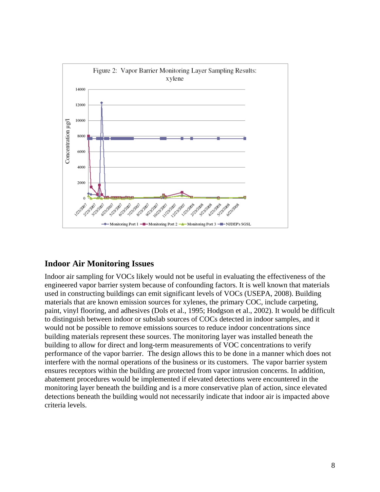

#### **Indoor Air Monitoring Issues**

Indoor air sampling for VOCs likely would not be useful in evaluating the effectiveness of the engineered vapor barrier system because of confounding factors. It is well known that materials used in constructing buildings can emit significant levels of VOCs (USEPA, 2008). Building materials that are known emission sources for xylenes, the primary COC, include carpeting, paint, vinyl flooring, and adhesives (Dols et al., 1995; Hodgson et al., 2002). It would be difficult to distinguish between indoor or subslab sources of COCs detected in indoor samples, and it would not be possible to remove emissions sources to reduce indoor concentrations since building materials represent these sources. The monitoring layer was installed beneath the building to allow for direct and long-term measurements of VOC concentrations to verify performance of the vapor barrier. The design allows this to be done in a manner which does not interfere with the normal operations of the business or its customers. The vapor barrier system ensures receptors within the building are protected from vapor intrusion concerns. In addition, abatement procedures would be implemented if elevated detections were encountered in the monitoring layer beneath the building and is a more conservative plan of action, since elevated detections beneath the building would not necessarily indicate that indoor air is impacted above criteria levels.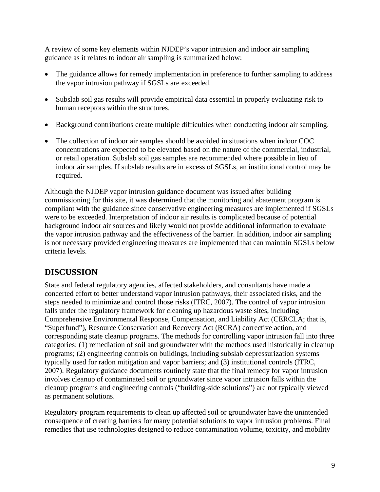A review of some key elements within NJDEP's vapor intrusion and indoor air sampling guidance as it relates to indoor air sampling is summarized below:

- The guidance allows for remedy implementation in preference to further sampling to address the vapor intrusion pathway if SGSLs are exceeded.
- Subslab soil gas results will provide empirical data essential in properly evaluating risk to human receptors within the structures.
- Background contributions create multiple difficulties when conducting indoor air sampling.
- The collection of indoor air samples should be avoided in situations when indoor COC concentrations are expected to be elevated based on the nature of the commercial, industrial, or retail operation. Subslab soil gas samples are recommended where possible in lieu of indoor air samples. If subslab results are in excess of SGSLs, an institutional control may be required.

Although the NJDEP vapor intrusion guidance document was issued after building commissioning for this site, it was determined that the monitoring and abatement program is compliant with the guidance since conservative engineering measures are implemented if SGSLs were to be exceeded. Interpretation of indoor air results is complicated because of potential background indoor air sources and likely would not provide additional information to evaluate the vapor intrusion pathway and the effectiveness of the barrier. In addition, indoor air sampling is not necessary provided engineering measures are implemented that can maintain SGSLs below criteria levels.

### **DISCUSSION**

State and federal regulatory agencies, affected stakeholders, and consultants have made a concerted effort to better understand vapor intrusion pathways, their associated risks, and the steps needed to minimize and control those risks (ITRC, 2007). The control of vapor intrusion falls under the regulatory framework for cleaning up hazardous waste sites, including Comprehensive Environmental Response, Compensation, and Liability Act (CERCLA; that is, "Superfund"), Resource Conservation and Recovery Act (RCRA) corrective action, and corresponding state cleanup programs. The methods for controlling vapor intrusion fall into three categories: (1) remediation of soil and groundwater with the methods used historically in cleanup programs; (2) engineering controls on buildings, including subslab depressurization systems typically used for radon mitigation and vapor barriers; and (3) institutional controls (ITRC, 2007). Regulatory guidance documents routinely state that the final remedy for vapor intrusion involves cleanup of contaminated soil or groundwater since vapor intrusion falls within the cleanup programs and engineering controls ("building-side solutions") are not typically viewed as permanent solutions.

Regulatory program requirements to clean up affected soil or groundwater have the unintended consequence of creating barriers for many potential solutions to vapor intrusion problems. Final remedies that use technologies designed to reduce contamination volume, toxicity, and mobility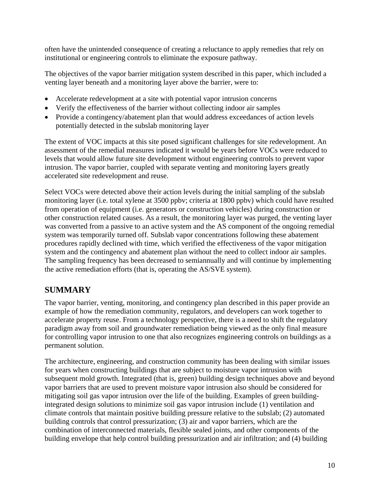often have the unintended consequence of creating a reluctance to apply remedies that rely on institutional or engineering controls to eliminate the exposure pathway.

The objectives of the vapor barrier mitigation system described in this paper, which included a venting layer beneath and a monitoring layer above the barrier, were to:

- Accelerate redevelopment at a site with potential vapor intrusion concerns
- Verify the effectiveness of the barrier without collecting indoor air samples
- Provide a contingency/abatement plan that would address exceedances of action levels potentially detected in the subslab monitoring layer

The extent of VOC impacts at this site posed significant challenges for site redevelopment. An assessment of the remedial measures indicated it would be years before VOCs were reduced to levels that would allow future site development without engineering controls to prevent vapor intrusion. The vapor barrier, coupled with separate venting and monitoring layers greatly accelerated site redevelopment and reuse.

Select VOCs were detected above their action levels during the initial sampling of the subslab monitoring layer (i.e. total xylene at 3500 ppbv; criteria at 1800 ppbv) which could have resulted from operation of equipment (i.e. generators or construction vehicles) during construction or other construction related causes. As a result, the monitoring layer was purged, the venting layer was converted from a passive to an active system and the AS component of the ongoing remedial system was temporarily turned off. Subslab vapor concentrations following these abatement procedures rapidly declined with time, which verified the effectiveness of the vapor mitigation system and the contingency and abatement plan without the need to collect indoor air samples. The sampling frequency has been decreased to semiannually and will continue by implementing the active remediation efforts (that is, operating the AS/SVE system).

## **SUMMARY**

The vapor barrier, venting, monitoring, and contingency plan described in this paper provide an example of how the remediation community, regulators, and developers can work together to accelerate property reuse. From a technology perspective, there is a need to shift the regulatory paradigm away from soil and groundwater remediation being viewed as the only final measure for controlling vapor intrusion to one that also recognizes engineering controls on buildings as a permanent solution.

The architecture, engineering, and construction community has been dealing with similar issues for years when constructing buildings that are subject to moisture vapor intrusion with subsequent mold growth. Integrated (that is, green) building design techniques above and beyond vapor barriers that are used to prevent moisture vapor intrusion also should be considered for mitigating soil gas vapor intrusion over the life of the building. Examples of green buildingintegrated design solutions to minimize soil gas vapor intrusion include (1) ventilation and climate controls that maintain positive building pressure relative to the subslab; (2) automated building controls that control pressurization; (3) air and vapor barriers, which are the combination of interconnected materials, flexible sealed joints, and other components of the building envelope that help control building pressurization and air infiltration; and (4) building